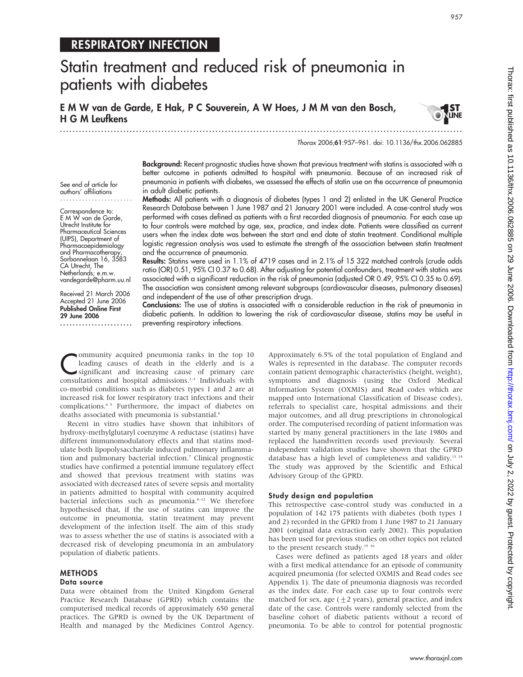## RESPIRATORY INFECTION

# Statin treatment and reduced risk of pneumonia in patients with diabetes

E M W van de Garde, E Hak, P C Souverein, A W Hoes, J M M van den Bosch, H G M Leufkens

.............................................................................................................................. .



957

Thorax 2006;61:957–961. doi: 10.1136/thx.2006.062885

See end of article for authors' affiliations .......................

Correspondence to: E M W van de Garde, Utrecht Institute for Pharmaceutical Sciences (UIPS), Department of Pharmacoepidemiology and Pharmacotherapy, Sorbonnelaan 16, 3583 CA Utrecht, The Netherlands; e.m.w. vandegarde@pharm.uu.nl

Received 21 March 2006 Accepted 21 June 2006 Published Online First 29 June 2006

.......................

Background: Recent prognostic studies have shown that previous treatment with statins is associated with a better outcome in patients admitted to hospital with pneumonia. Because of an increased risk of pneumonia in patients with diabetes, we assessed the effects of statin use on the occurrence of pneumonia in adult diabetic patients.

Methods: All patients with a diagnosis of diabetes (types 1 and 2) enlisted in the UK General Practice Research Database between 1 June 1987 and 21 January 2001 were included. A case-control study was performed with cases defined as patients with a first recorded diagnosis of pneumonia. For each case up to four controls were matched by age, sex, practice, and index date. Patients were classified as current users when the index date was between the start and end date of statin treatment. Conditional multiple logistic regression analysis was used to estimate the strength of the association between statin treatment and the occurrence of pneumonia.

Results: Statins were used in 1.1% of 4719 cases and in 2.1% of 15 322 matched controls (crude odds ratio (OR) 0.51, 95% CI 0.37 to 0.68). After adjusting for potential confounders, treatment with statins was associated with a significant reduction in the risk of pneumonia (adjusted OR 0.49, 95% CI 0.35 to 0.69). The association was consistent among relevant subgroups (cardiovascular diseases, pulmonary diseases) and independent of the use of other prescription drugs.

Conclusions: The use of statins is associated with a considerable reduction in the risk of pneumonia in diabetic patients. In addition to lowering the risk of cardiovascular disease, statins may be useful in preventing respiratory infections.

**Community acquired pneumonia ranks in the top 10**<br>leading causes of death in the elderly and is a<br>significant and increasing cause of primary care<br>consultations and homital admissions <sup>13</sup> Individuals with leading causes of death in the elderly and is a consultations and hospital admissions.<sup>1-3</sup> Individuals with co-morbid conditions such as diabetes types 1 and 2 are at increased risk for lower respiratory tract infections and their complications.4 5 Furthermore, the impact of diabetes on deaths associated with pneumonia is substantial.<sup>6</sup>

Recent in vitro studies have shown that inhibitors of hydroxy-methylglutaryl coenzyme A reductase (statins) have different immunomodulatory effects and that statins modulate both lipopolysaccharide induced pulmonary inflammation and pulmonary bacterial infection.7 Clinical prognostic studies have confirmed a potential immune regulatory effect and showed that previous treatment with statins was associated with decreased rates of severe sepsis and mortality in patients admitted to hospital with community acquired bacterial infections such as pneumonia.<sup>8-12</sup> We therefore hypothesised that, if the use of statins can improve the outcome in pneumonia, statin treatment may prevent development of the infection itself. The aim of this study was to assess whether the use of statins is associated with a decreased risk of developing pneumonia in an ambulatory population of diabetic patients.

#### **METHODS**

### Data source

Data were obtained from the United Kingdom General Practice Research Database (GPRD) which contains the computerised medical records of approximately 650 general practices. The GPRD is owned by the UK Department of Health and managed by the Medicines Control Agency.

Approximately 6.5% of the total population of England and Wales is represented in the database. The computer records contain patient demographic characteristics (height, weight), symptoms and diagnosis (using the Oxford Medical Information System (OXMIS) and Read codes which are mapped onto International Classification of Disease codes), referrals to specialist care, hospital admissions and their major outcomes, and all drug prescriptions in chronological order. The computerised recording of patient information was started by many general practitioners in the late 1980s and replaced the handwritten records used previously. Several independent validation studies have shown that the GPRD database has a high level of completeness and validity.13 14 The study was approved by the Scientific and Ethical Advisory Group of the GPRD.

## Study design and population

This retrospective case-control study was conducted in a population of 142 175 patients with diabetes (both types 1 and 2) recorded in the GPRD from 1 June 1987 to 21 January 2001 (original data extraction early 2002). This population has been used for previous studies on other topics not related to the present research study.<sup>15 16</sup>

Cases were defined as patients aged 18 years and older with a first medical attendance for an episode of community acquired pneumonia (for selected OXMIS and Read codes see Appendix 1). The date of pneumonia diagnosis was recorded as the index date. For each case up to four controls were matched for sex, age  $(\pm 2 \text{ years})$ , general practice, and index date of the case. Controls were randomly selected from the baseline cohort of diabetic patients without a record of pneumonia. To be able to control for potential prognostic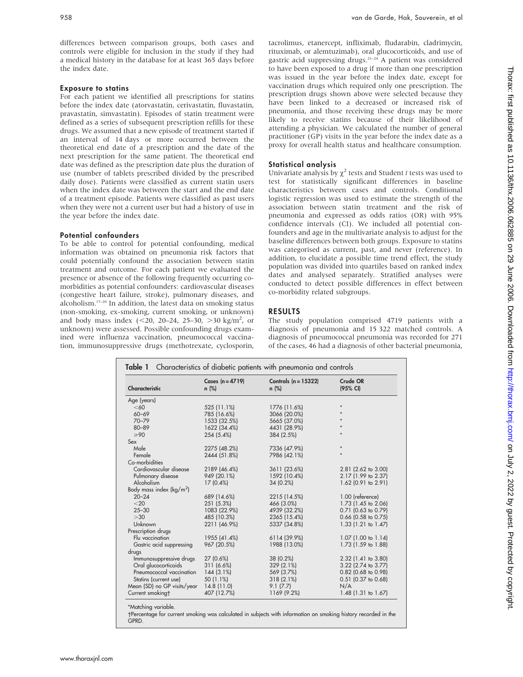differences between comparison groups, both cases and controls were eligible for inclusion in the study if they had a medical history in the database for at least 365 days before the index date.

## Exposure to statins

For each patient we identified all prescriptions for statins before the index date (atorvastatin, cerivastatin, fluvastatin, pravastatin, simvastatin). Episodes of statin treatment were defined as a series of subsequent prescription refills for these drugs. We assumed that a new episode of treatment started if an interval of 14 days or more occurred between the theoretical end date of a prescription and the date of the next prescription for the same patient. The theoretical end date was defined as the prescription date plus the duration of use (number of tablets prescribed divided by the prescribed daily dose). Patients were classified as current statin users when the index date was between the start and the end date of a treatment episode. Patients were classified as past users when they were not a current user but had a history of use in the year before the index date.

## Potential confounders

To be able to control for potential confounding, medical information was obtained on pneumonia risk factors that could potentially confound the association between statin treatment and outcome. For each patient we evaluated the presence or absence of the following frequently occurring comorbidities as potential confounders: cardiovascular diseases (congestive heart failure, stroke), pulmonary diseases, and alcoholism.17–20 In addition, the latest data on smoking status (non-smoking, ex-smoking, current smoking, or unknown) and body mass index  $(< 20, 20-24, 25-30, >30$  kg/m<sup>2</sup>, or unknown) were assessed. Possible confounding drugs examined were influenza vaccination, pneumococcal vaccination, immunosuppressive drugs (methotrexate, cyclosporin, tacrolimus, etanercept, infliximab, fludarabin, cladrimycin, rituximab, or alemtuzimab), oral glucocorticoids, and use of gastric acid suppressing drugs.21–24 A patient was considered to have been exposed to a drug if more than one prescription was issued in the year before the index date, except for vaccination drugs which required only one prescription. The prescription drugs shown above were selected because they have been linked to a decreased or increased risk of pneumonia, and those receiving these drugs may be more likely to receive statins because of their likelihood of attending a physician. We calculated the number of general practitioner (GP) visits in the year before the index date as a proxy for overall health status and healthcare consumption.

## Statistical analysis

Univariate analysis by  $\chi^2$  tests and Student t tests was used to test for statistically significant differences in baseline characteristics between cases and controls. Conditional logistic regression was used to estimate the strength of the association between statin treatment and the risk of pneumonia and expressed as odds ratios (OR) with 95% confidence intervals (CI). We included all potential confounders and age in the multivariate analysis to adjust for the baseline differences between both groups. Exposure to statins was categorised as current, past, and never (reference). In addition, to elucidate a possible time trend effect, the study population was divided into quartiles based on ranked index dates and analysed separately. Stratified analyses were conducted to detect possible differences in effect between co-morbidity related subgroups.

## RESULTS

The study population comprised 4719 patients with a diagnosis of pneumonia and 15 322 matched controls. A diagnosis of pneumococcal pneumonia was recorded for 271 of the cases, 46 had a diagnosis of other bacterial pneumonia,

| Characteristic                      | Cases $(n = 4719)$<br>$n$ (%) | Controls $(n = 15322)$<br>$n$ (%) | Crude OR<br>(95% CI) |
|-------------------------------------|-------------------------------|-----------------------------------|----------------------|
| Age (years)                         |                               |                                   |                      |
| <60                                 | 525 (11.1%)                   | 1776 (11.6%)                      | $\star$              |
| $60 - 69$                           | 785 (16.6%)                   | 3066 (20.0%)                      |                      |
| $70 - 79$                           | 1533 (32.5%)                  | 5665 (37.0%)                      |                      |
| $80 - 89$                           | 1622 (34.4%)                  | 4431 (28.9%)                      |                      |
| $\geqslant 90$                      | 254 (5.4%)                    | 384 (2.5%)                        |                      |
| Sex                                 |                               |                                   |                      |
| Male                                | 2275 (48.2%)                  | 7336 (47.9%)                      | $\star$              |
| Female                              | 2444 (51.8%)                  | 7986 (42.1%)                      | ÷                    |
| Co-morbidities                      |                               |                                   |                      |
| Cardiovascular disease              | 2189 (46.4%)                  | 3611 (23.6%)                      | 2.81 (2.62 to 3.00)  |
| Pulmonary disease                   | 949 (20.1%)                   | 1592 (10.4%)                      | 2.17 (1.99 to 2.37)  |
| Alcoholism                          | $17(0.4\%)$                   | 34 (0.2%)                         | 1.62 (0.91 to 2.91)  |
| Body mass index ( $\text{kg/m}^2$ ) |                               |                                   |                      |
| $20 - 24$                           | 689 (14.6%)                   | 2215 (14.5%)                      | 1.00 (reference)     |
| $<$ 20                              | 251 (5.3%)                    | 466 (3.0%)                        | 1.73 (1.45 to 2.06)  |
| $25 - 30$                           | 1083 (22.9%)                  | 4939 (32.2%)                      | 0.71 (0.63 to 0.79)  |
| >30                                 | 485 (10.3%)                   | 2365 (15.4%)                      | 0.66 (0.58 to 0.75)  |
| Unknown                             | 2211 (46.9%)                  | 5337 (34.8%)                      | 1.33 (1.21 to 1.47)  |
| Prescription drugs                  |                               |                                   |                      |
| Flu vaccination                     | 1955 (41.4%)                  | 6114 (39.9%)                      | 1.07 (1.00 to 1.14)  |
| Gastric acid suppressing            | 967 (20.5%)                   | 1988 (13.0%)                      | 1.73 (1.59 to 1.88)  |
| drugs                               |                               |                                   |                      |
| Immunosuppressive drugs             | 27 (0.6%)                     | 38 (0.2%)                         | 2.32 (1.41 to 3.80)  |
| Oral glucocorticoids                | 311 (6.6%)                    | 329 (2.1%)                        | 3.22 (2.74 to 3.77)  |
| Pneumococcal vaccination            | 144(3.1%)                     | 569 (3.7%)                        | 0.82 (0.68 to 0.98)  |
| Statins (current use)               | 50 (1.1%)                     | 318 (2.1%)                        | 0.51 (0.37 to 0.68)  |
| Mean (SD) no GP visits/year         | 14.8(11.0)                    | 9.1(7.7)                          | N/A                  |
| Current smokingt                    | 407 (12.7%)                   | 1169 (9.2%)                       | 1.48 (1.31 to 1.67)  |

\*Matching variable.

-Percentage for current smoking was calculated in subjects with information on smoking history recorded in the GPRD.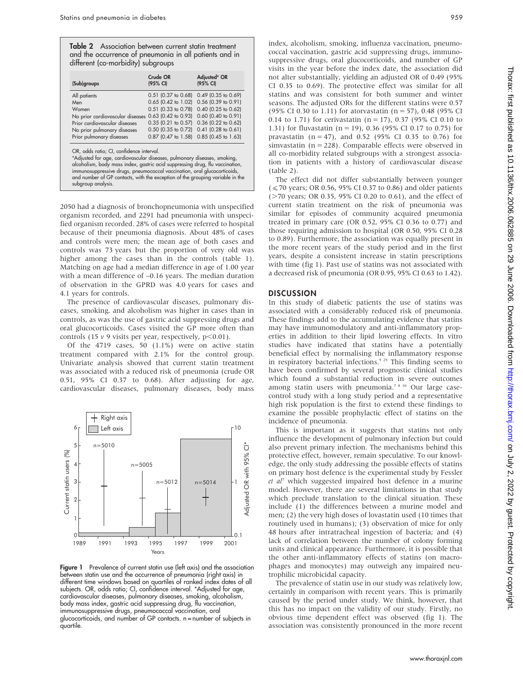Table 2 Association between current statin treatment and the occurrence of pneumonia in all patients and in different (co-morbidity) subgroups

| (Sub)groups                              | (95% CI)                  | Adjusted* OR<br>(95% CI) |
|------------------------------------------|---------------------------|--------------------------|
| All patients                             | $0.51$ (0.37 to 0.68)     | 0.49 (0.35 to 0.69)      |
| Men                                      | $0.65$ (0.42 to 1.02)     | 0.56 (0.39 to 0.91)      |
| Women                                    | 0.51 (0.33 to 0.78)       | 0.40 (0.25 to 0.62)      |
| No prior cardiovascular diseases         | 0.63 (0.42 to 0.93)       | 0.60 (0.40 to 0.91)      |
| Prior cardiovascular diseases            | $0.35$ $(0.21)$ to $0.57$ | 0.36 (0.22 to 0.62)      |
| No prior pulmonary diseases              | 0.50 (0.35 to 0.72)       | $0.41$ (0.28 to 0.61)    |
| Prior pulmonary diseases                 | $0.87$ (0.47 to 1.58)     | 0.85 (0.45 to 1.63)      |
| OR, odds ratio; CI, confidence interval. |                           |                          |

2050 had a diagnosis of bronchopneumonia with unspecified organism recorded, and 2291 had pneumonia with unspecified organism recorded. 28% of cases were referred to hospital because of their pneumonia diagnosis. About 48% of cases and controls were men; the mean age of both cases and controls was 73 years but the proportion of very old was higher among the cases than in the controls (table 1). Matching on age had a median difference in age of 1.00 year with a mean difference of –0.16 years. The median duration of observation in the GPRD was 4.0 years for cases and 4.1 years for controls.

The presence of cardiovascular diseases, pulmonary diseases, smoking, and alcoholism was higher in cases than in controls, as was the use of gastric acid suppressing drugs and oral glucocorticoids. Cases visited the GP more often than controls (15  $\nu$  9 visits per year, respectively, p<0.01).

Of the 4719 cases, 50 (1.1%) were on active statin treatment compared with 2.1% for the control group. Univariate analysis showed that current statin treatment was associated with a reduced risk of pneumonia (crude OR 0.51, 95% CI 0.37 to 0.68). After adjusting for age, cardiovascular diseases, pulmonary diseases, body mass



Figure 1 Prevalence of current statin use (left axis) and the association between statin use and the occurrence of pneumonia (right axis) in different time windows based on quartiles of ranked index dates of all subjects. OR, odds ratio; CI, confidence interval. \*Adjusted for age, cardiovascular diseases, pulmonary diseases, smoking, alcoholism, body mass index, gastric acid suppressing drug, flu vaccination, immunosuppressive drugs, pneumococcal vaccination, oral glucocorticoids, and number of GP contacts. n = number of subjects in quartile.

index, alcoholism, smoking, influenza vaccination, pneumococcal vaccination, gastric acid suppressing drugs, immunosuppressive drugs, oral glucocorticoids, and number of GP visits in the year before the index date, the association did not alter substantially, yielding an adjusted OR of 0.49 (95% CI 0.35 to 0.69). The protective effect was similar for all statins and was consistent for both summer and winter seasons. The adjusted ORs for the different statins were 0.57 (95% CI 0.30 to 1.11) for atorvastatin (n = 57), 0.48 (95% CI 0.14 to 1.71) for cerivastatin ( $n = 17$ ), 0.37 (95% CI 0.10 to 1.31) for fluvastatin ( $n = 19$ ), 0.36 (95% CI 0.17 to 0.75) for pravastatin ( $n = 47$ ), and 0.52 (95% CI 0.35 to 0.76) for simvastatin ( $n = 228$ ). Comparable effects were observed in all co-morbidity related subgroups with a strongest association in patients with a history of cardiovascular disease (table 2).

The effect did not differ substantially between younger  $(*50* years; OR 0.56, 95% CI 0.37 to 0.86) and older patients$  $($  >70 years; OR 0.35, 95% CI 0.20 to 0.61), and the effect of current statin treatment on the risk of pneumonia was similar for episodes of community acquired pneumonia treated in primary care (OR 0.52, 95% CI 0.36 to 0.77) and those requiring admission to hospital (OR 0.50, 95% CI 0.28 to 0.89). Furthermore, the association was equally present in the more recent years of the study period and in the first years, despite a consistent increase in statin prescriptions with time (fig 1). Past use of statins was not associated with a decreased risk of pneumonia (OR 0.95, 95% CI 0.63 to 1.42).

## **DISCUSSION**

In this study of diabetic patients the use of statins was associated with a considerably reduced risk of pneumonia. These findings add to the accumulating evidence that statins may have immunomodulatory and anti-inflammatory properties in addition to their lipid lowering effects. In vitro studies have indicated that statins have a potentially beneficial effect by normalising the inflammatory response in respiratory bacterial infections.<sup>9 25</sup> This finding seems to have been confirmed by several prognostic clinical studies which found a substantial reduction in severe outcomes among statin users with pneumonia.<sup>7 8 10</sup> Our large casecontrol study with a long study period and a representative high risk population is the first to extend these findings to examine the possible prophylactic effect of statins on the incidence of pneumonia.

This is important as it suggests that statins not only influence the development of pulmonary infection but could also prevent primary infection. The mechanisms behind this protective effect, however, remain speculative. To our knowledge, the only study addressing the possible effects of statins on primary host defence is the experimental study by Fessler  $et \, al^{\gamma}$  which suggested impaired host defence in a murine model. However, there are several limitations in that study which preclude translation to the clinical situation. These include (1) the differences between a murine model and men; (2) the very high doses of lovastatin used (10 times that routinely used in humans); (3) observation of mice for only 48 hours after intratracheal ingestion of bacteria; and (4) lack of correlation between the number of colony forming units and clinical appearance. Furthermore, it is possible that the other anti-inflammatory effects of statins (on macrophages and monocytes) may outweigh any impaired neutrophilic microbicidal capacity.

The prevalence of statin use in our study was relatively low, certainly in comparison with recent years. This is primarily caused by the period under study. We think, however, that this has no impact on the validity of our study. Firstly, no obvious time dependent effect was observed (fig 1). The association was consistently pronounced in the more recent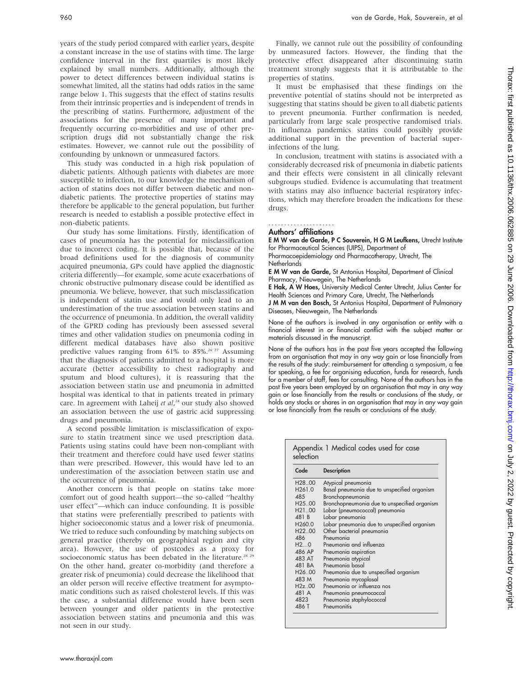years of the study period compared with earlier years, despite a constant increase in the use of statins with time. The large confidence interval in the first quartiles is most likely explained by small numbers. Additionally, although the power to detect differences between individual statins is somewhat limited, all the statins had odds ratios in the same range below 1. This suggests that the effect of statins results from their intrinsic properties and is independent of trends in the prescribing of statins. Furthermore, adjustment of the associations for the presence of many important and frequently occurring co-morbidities and use of other prescription drugs did not substantially change the risk estimates. However, we cannot rule out the possibility of confounding by unknown or unmeasured factors.

This study was conducted in a high risk population of diabetic patients. Although patients with diabetes are more susceptible to infection, to our knowledge the mechanism of action of statins does not differ between diabetic and nondiabetic patients. The protective properties of statins may therefore be applicable to the general population, but further research is needed to establish a possible protective effect in non-diabetic patients.

Our study has some limitations. Firstly, identification of cases of pneumonia has the potential for misclassification due to incorrect coding. It is possible that, because of the broad definitions used for the diagnosis of community acquired pneumonia, GPs could have applied the diagnostic criteria differently—for example, some acute exacerbations of chronic obstructive pulmonary disease could be identified as pneumonia. We believe, however, that such misclassification is independent of statin use and would only lead to an underestimation of the true association between statins and the occurrence of pneumonia. In addition, the overall validity of the GPRD coding has previously been assessed several times and other validation studies on pneumonia coding in different medical databases have also shown positive predictive values ranging from  $61\%$  to  $85\%$ .<sup>26, 27</sup> Assuming that the diagnosis of patients admitted to a hospital is more accurate (better accessibility to chest radiography and sputum and blood cultures), it is reassuring that the association between statin use and pneumonia in admitted hospital was identical to that in patients treated in primary care. In agreement with Laheij et al,<sup>24</sup> our study also showed an association between the use of gastric acid suppressing drugs and pneumonia.

A second possible limitation is misclassification of exposure to statin treatment since we used prescription data. Patients using statins could have been non-compliant with their treatment and therefore could have used fewer statins than were prescribed. However, this would have led to an underestimation of the association between statin use and the occurrence of pneumonia.

Another concern is that people on statins take more comfort out of good health support—the so-called ''healthy user effect''—which can induce confounding. It is possible that statins were preferentially prescribed to patients with higher socioeconomic status and a lower risk of pneumonia. We tried to reduce such confounding by matching subjects on general practice (thereby on geographical region and city area). However, the use of postcodes as a proxy for socioeconomic status has been debated in the literature.<sup>28 29</sup> On the other hand, greater co-morbidity (and therefore a greater risk of pneumonia) could decrease the likelihood that an older person will receive effective treatment for asymptomatic conditions such as raised cholesterol levels. If this was the case, a substantial difference would have been seen between younger and older patients in the protective association between statins and pneumonia and this was not seen in our study.

Finally, we cannot rule out the possibility of confounding by unmeasured factors. However, the finding that the protective effect disappeared after discontinuing statin treatment strongly suggests that it is attributable to the properties of statins.

It must be emphasised that these findings on the preventive potential of statins should not be interpreted as suggesting that statins should be given to all diabetic patients to prevent pneumonia. Further confirmation is needed, particularly from large scale prospective randomised trials. In influenza pandemics statins could possibly provide additional support in the prevention of bacterial superinfections of the lung.

In conclusion, treatment with statins is associated with a considerably decreased risk of pneumonia in diabetic patients and their effects were consistent in all clinically relevant subgroups studied. Evidence is accumulating that treatment with statins may also influence bacterial respiratory infections, which may therefore broaden the indications for these drugs.

#### Authors' affiliations .....................

E M W van de Garde, P C Souverein, H G M Leufkens, Utrecht Institute for Pharmaceutical Sciences (UIPS), Department of

Pharmacoepidemiology and Pharmacotherapy, Utrecht, The **Netherlands** 

E M W van de Garde, St Antonius Hospital, Department of Clinical Pharmacy, Nieuwegein, The Netherlands

E Hak, A W Hoes, University Medical Center Utrecht, Julius Center for Health Sciences and Primary Care, Utrecht, The Netherlands J M M van den Bosch, St Antonius Hospital, Department of Pulmonary

Diseases, Nieuwegein, The Netherlands

None of the authors is involved in any organisation or entity with a financial interest in or financial conflict with the subject matter or materials discussed in the manuscript.

None of the authors has in the past five years accepted the following from an organisation that may in any way gain or lose financially from the results of the study: reimbursement for attending a symposium, a fee for speaking, a fee for organising education, funds for research, funds for a member of staff, fees for consulting. None of the authors has in the past five years been employed by an organisation that may in any way gain or lose financially from the results or conclusions of the study, or holds any stocks or shares in an organisation that may in any way gain or lose financially from the results or conclusions of the study.

| Code                | <b>Description</b>                           |  |
|---------------------|----------------------------------------------|--|
| H <sub>28</sub> .00 | Atypical pneumonia                           |  |
| H <sub>261.0</sub>  | Basal pneumonia due to unspecified organism  |  |
| 48.5                | Bronchopneumonia                             |  |
| H <sub>25</sub> .00 | Bronchopneumonia due to unspecified organism |  |
| H <sub>2100</sub>   | Lobar (pneumococcal) pneumonia               |  |
| 481 B               | Lobar pneumonia                              |  |
| H <sub>260.0</sub>  | Lobar pneumonia due to unspecified organism  |  |
| H22.00              | Other bacterial pneumonia                    |  |
| 486                 | Pneumonia                                    |  |
| H20                 | Pneumonia and influenza                      |  |
| 486 AP              | Pneumonia aspiration                         |  |
| 483 AT              | Pneumonia atypical                           |  |
| 481 BA              | Pneumonia basal                              |  |
| H26.00              | Pneumonia due to unspecified organism        |  |
| 483 M               | Pneumonia mycoplasal                         |  |
| H2z.00              | Pneumonia or influenza nos                   |  |
| 481 A               | Pneumonia pneumococcal                       |  |
| 4823                | Pneumonia staphylococcal                     |  |
| 486 T               | Pneumonitis                                  |  |